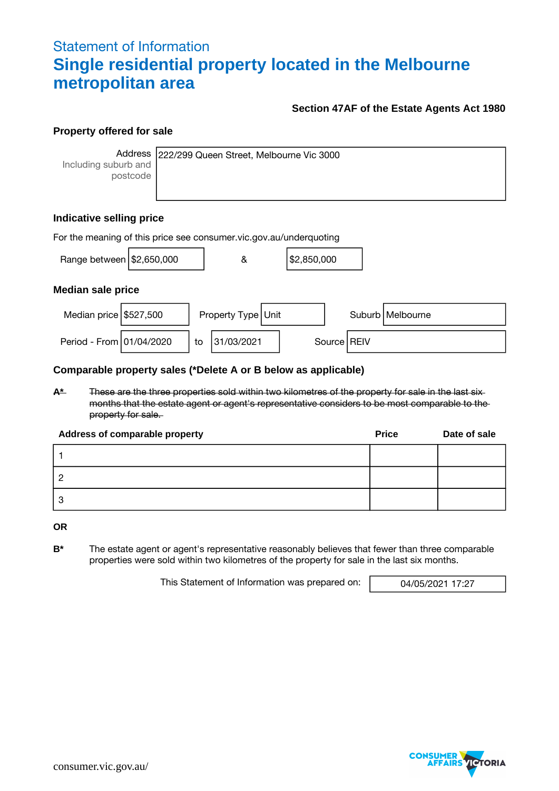# Statement of Information **Single residential property located in the Melbourne metropolitan area**

### **Section 47AF of the Estate Agents Act 1980**

#### **Property offered for sale**

Including suburb and postcode

Address 222/299 Queen Street, Melbourne Vic 3000

## **Indicative selling price**

| For the meaning of this price see consumer vic gov au/underquoting |  |    |                    |  |             |  |               |                    |
|--------------------------------------------------------------------|--|----|--------------------|--|-------------|--|---------------|--------------------|
| Range between \$2,650,000                                          |  |    | &                  |  | \$2,850,000 |  |               |                    |
| <b>Median sale price</b>                                           |  |    |                    |  |             |  |               |                    |
| Median price \$527,500                                             |  |    | Property Type Unit |  |             |  |               | Suburb   Melbourne |
| Period - From 01/04/2020                                           |  | to | 31/03/2021         |  |             |  | Source   REIV |                    |

#### **Comparable property sales (\*Delete A or B below as applicable)**

**A\*** These are the three properties sold within two kilometres of the property for sale in the last six months that the estate agent or agent's representative considers to be most comparable to the property for sale.

| Address of comparable property | <b>Price</b> | Date of sale |
|--------------------------------|--------------|--------------|
|                                |              |              |
|                                |              |              |
|                                |              |              |

**OR**

**B\*** The estate agent or agent's representative reasonably believes that fewer than three comparable properties were sold within two kilometres of the property for sale in the last six months.

This Statement of Information was prepared on: 04/05/2021 17:27